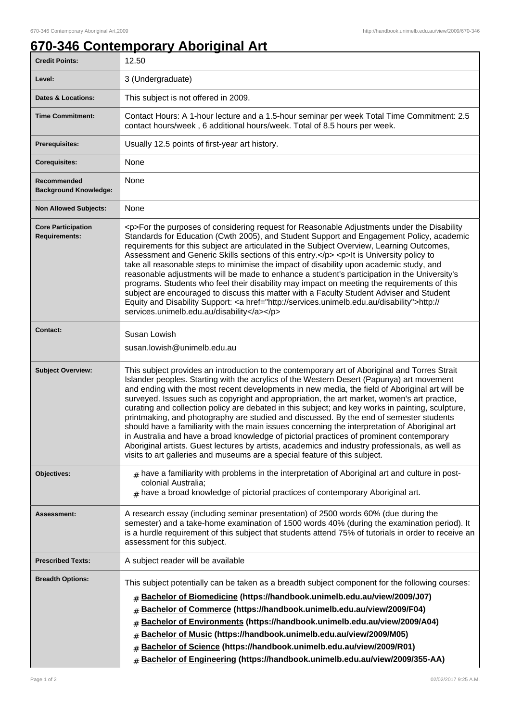## **670-346 Contemporary Aboriginal Art**

| <b>Credit Points:</b>                             | 12.50                                                                                                                                                                                                                                                                                                                                                                                                                                                                                                                                                                                                                                                                                                                                                                                                                                                                                                                                                                      |
|---------------------------------------------------|----------------------------------------------------------------------------------------------------------------------------------------------------------------------------------------------------------------------------------------------------------------------------------------------------------------------------------------------------------------------------------------------------------------------------------------------------------------------------------------------------------------------------------------------------------------------------------------------------------------------------------------------------------------------------------------------------------------------------------------------------------------------------------------------------------------------------------------------------------------------------------------------------------------------------------------------------------------------------|
| Level:                                            | 3 (Undergraduate)                                                                                                                                                                                                                                                                                                                                                                                                                                                                                                                                                                                                                                                                                                                                                                                                                                                                                                                                                          |
| <b>Dates &amp; Locations:</b>                     | This subject is not offered in 2009.                                                                                                                                                                                                                                                                                                                                                                                                                                                                                                                                                                                                                                                                                                                                                                                                                                                                                                                                       |
| <b>Time Commitment:</b>                           | Contact Hours: A 1-hour lecture and a 1.5-hour seminar per week Total Time Commitment: 2.5<br>contact hours/week, 6 additional hours/week. Total of 8.5 hours per week.                                                                                                                                                                                                                                                                                                                                                                                                                                                                                                                                                                                                                                                                                                                                                                                                    |
| Prerequisites:                                    | Usually 12.5 points of first-year art history.                                                                                                                                                                                                                                                                                                                                                                                                                                                                                                                                                                                                                                                                                                                                                                                                                                                                                                                             |
| <b>Corequisites:</b>                              | None                                                                                                                                                                                                                                                                                                                                                                                                                                                                                                                                                                                                                                                                                                                                                                                                                                                                                                                                                                       |
| Recommended<br><b>Background Knowledge:</b>       | None                                                                                                                                                                                                                                                                                                                                                                                                                                                                                                                                                                                                                                                                                                                                                                                                                                                                                                                                                                       |
| <b>Non Allowed Subjects:</b>                      | None                                                                                                                                                                                                                                                                                                                                                                                                                                                                                                                                                                                                                                                                                                                                                                                                                                                                                                                                                                       |
| <b>Core Participation</b><br><b>Requirements:</b> | <p>For the purposes of considering request for Reasonable Adjustments under the Disability<br/>Standards for Education (Cwth 2005), and Student Support and Engagement Policy, academic<br/>requirements for this subject are articulated in the Subject Overview, Learning Outcomes,<br/>Assessment and Generic Skills sections of this entry.</p> <p>lt is University policy to<br/>take all reasonable steps to minimise the impact of disability upon academic study, and<br/>reasonable adjustments will be made to enhance a student's participation in the University's<br/>programs. Students who feel their disability may impact on meeting the requirements of this<br/>subject are encouraged to discuss this matter with a Faculty Student Adviser and Student<br/>Equity and Disability Support: &lt; a href="http://services.unimelb.edu.au/disability"&gt;http://<br/>services.unimelb.edu.au/disability</p>                                               |
| <b>Contact:</b>                                   | Susan Lowish<br>susan.lowish@unimelb.edu.au                                                                                                                                                                                                                                                                                                                                                                                                                                                                                                                                                                                                                                                                                                                                                                                                                                                                                                                                |
| <b>Subject Overview:</b>                          | This subject provides an introduction to the contemporary art of Aboriginal and Torres Strait<br>Islander peoples. Starting with the acrylics of the Western Desert (Papunya) art movement<br>and ending with the most recent developments in new media, the field of Aboriginal art will be<br>surveyed. Issues such as copyright and appropriation, the art market, women's art practice,<br>curating and collection policy are debated in this subject; and key works in painting, sculpture,<br>printmaking, and photography are studied and discussed. By the end of semester students<br>should have a familiarity with the main issues concerning the interpretation of Aboriginal art<br>in Australia and have a broad knowledge of pictorial practices of prominent contemporary<br>Aboriginal artists. Guest lectures by artists, academics and industry professionals, as well as<br>visits to art galleries and museums are a special feature of this subject. |
| <b>Objectives:</b>                                | $#$ have a familiarity with problems in the interpretation of Aboriginal art and culture in post-<br>colonial Australia;<br>$#$ have a broad knowledge of pictorial practices of contemporary Aboriginal art.                                                                                                                                                                                                                                                                                                                                                                                                                                                                                                                                                                                                                                                                                                                                                              |
| <b>Assessment:</b>                                | A research essay (including seminar presentation) of 2500 words 60% (due during the<br>semester) and a take-home examination of 1500 words 40% (during the examination period). It<br>is a hurdle requirement of this subject that students attend 75% of tutorials in order to receive an<br>assessment for this subject.                                                                                                                                                                                                                                                                                                                                                                                                                                                                                                                                                                                                                                                 |
| <b>Prescribed Texts:</b>                          | A subject reader will be available                                                                                                                                                                                                                                                                                                                                                                                                                                                                                                                                                                                                                                                                                                                                                                                                                                                                                                                                         |
| <b>Breadth Options:</b>                           | This subject potentially can be taken as a breadth subject component for the following courses:<br>Bachelor of Biomedicine (https://handbook.unimelb.edu.au/view/2009/J07)<br>#<br>Bachelor of Commerce (https://handbook.unimelb.edu.au/view/2009/F04)<br>#<br>Bachelor of Environments (https://handbook.unimelb.edu.au/view/2009/A04)<br>#<br>Bachelor of Music (https://handbook.unimelb.edu.au/view/2009/M05)<br>#<br>Bachelor of Science (https://handbook.unimelb.edu.au/view/2009/R01)<br>#<br>Bachelor of Engineering (https://handbook.unimelb.edu.au/view/2009/355-AA)<br>#                                                                                                                                                                                                                                                                                                                                                                                     |